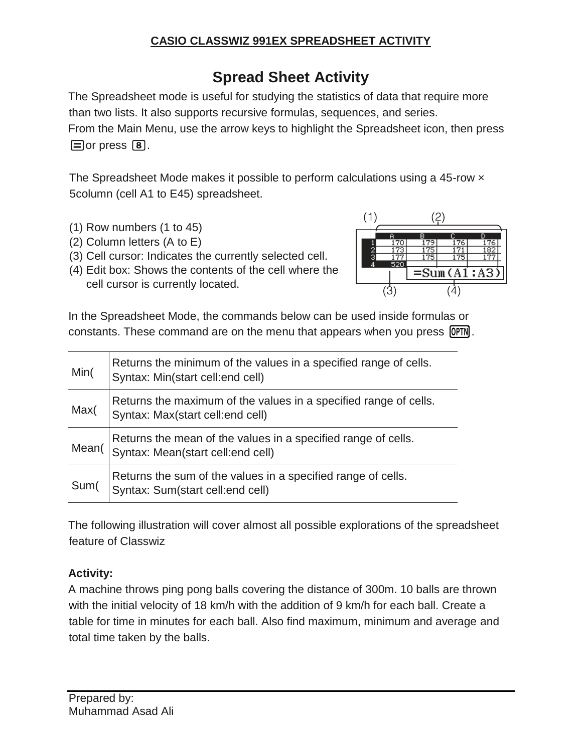# **Spread Sheet Activity**

The Spreadsheet mode is useful for studying the statistics of data that require more than two lists. It also supports recursive formulas, sequences, and series. From the Main Menu, use the arrow keys to highlight the Spreadsheet icon, then press  $\Box$  or press  $\Box$ .

The Spreadsheet Mode makes it possible to perform calculations using a 45-row  $\times$ 5column (cell A1 to E45) spreadsheet.

- (1) Row numbers (1 to 45)
- (2) Column letters (A to E)
- (3) Cell cursor: Indicates the currently selected cell.
- (4) Edit box: Shows the contents of the cell where the cell cursor is currently located.



In the Spreadsheet Mode, the commands below can be used inside formulas or constants. These command are on the menu that appears when you press **[OPTN**].

| Min(  | Returns the minimum of the values in a specified range of cells.<br>Syntax: Min(start cell:end cell) |
|-------|------------------------------------------------------------------------------------------------------|
| Max(  | Returns the maximum of the values in a specified range of cells.<br>Syntax: Max(start cell:end cell) |
| Mean( | Returns the mean of the values in a specified range of cells.<br>Syntax: Mean(start cell:end cell)   |
| Sum(  | Returns the sum of the values in a specified range of cells.<br>Syntax: Sum(start cell:end cell)     |

The following illustration will cover almost all possible explorations of the spreadsheet feature of Classwiz

# **Activity:**

A machine throws ping pong balls covering the distance of 300m. 10 balls are thrown with the initial velocity of 18 km/h with the addition of 9 km/h for each ball. Create a table for time in minutes for each ball. Also find maximum, minimum and average and total time taken by the balls.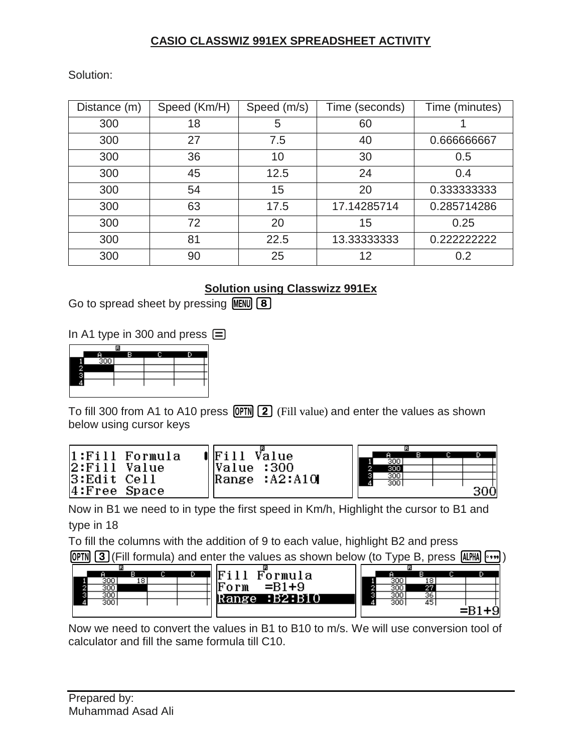Solution:

| Distance (m) | Speed (Km/H) | Speed (m/s) | Time (seconds) | Time (minutes) |
|--------------|--------------|-------------|----------------|----------------|
| 300          | 18           | 5           | 60             |                |
| 300          | 27           | 7.5         | 40             | 0.666666667    |
| 300          | 36           | 10          | 30             | 0.5            |
| 300          | 45           | 12.5        | 24             | 0.4            |
| 300          | 54           | 15          | 20             | 0.333333333    |
| 300          | 63           | 17.5        | 17.14285714    | 0.285714286    |
| 300          | 72           | 20          | 15             | 0.25           |
| 300          | 81           | 22.5        | 13.33333333    | 0.222222222    |
| 300          | 90           | 25          | 12             | 0.2            |

# **Solution using Classwizz 991Ex**

Go to spread sheet by pressing  $MENU$   $(8)$ 

In A1 type in 300 and press  $\equiv$ 

| в |  |
|---|--|
|   |  |
|   |  |
|   |  |
|   |  |
|   |  |
|   |  |

To fill 300 from A1 to A10 press  $OPTN$   $2$  (Fill value) and enter the values as shown below using cursor keys

| 1:Fill Formula | $\blacksquare$ Fill<br>Value |                  |  |     |
|----------------|------------------------------|------------------|--|-----|
|                |                              | 300              |  |     |
| 2:Fill Value   | Value : 300                  | 300              |  |     |
| 3:Edit Cell    | Range $:A2:A10$              | 300 <sub>1</sub> |  |     |
|                |                              | 300              |  |     |
| 4:Free Space   |                              |                  |  | 30Ò |
|                |                              |                  |  |     |

Now in B1 we need to in type the first speed in Km/h, Highlight the cursor to B1 and type in 18

To fill the columns with the addition of 9 to each value, highlight B2 and press

**OPTN** 3 (Fill formula) and enter the values as shown below (to Type B, press  $\text{AIPHA}$   $\rightarrow$ 



Now we need to convert the values in B1 to B10 to m/s. We will use conversion tool of calculator and fill the same formula till C10.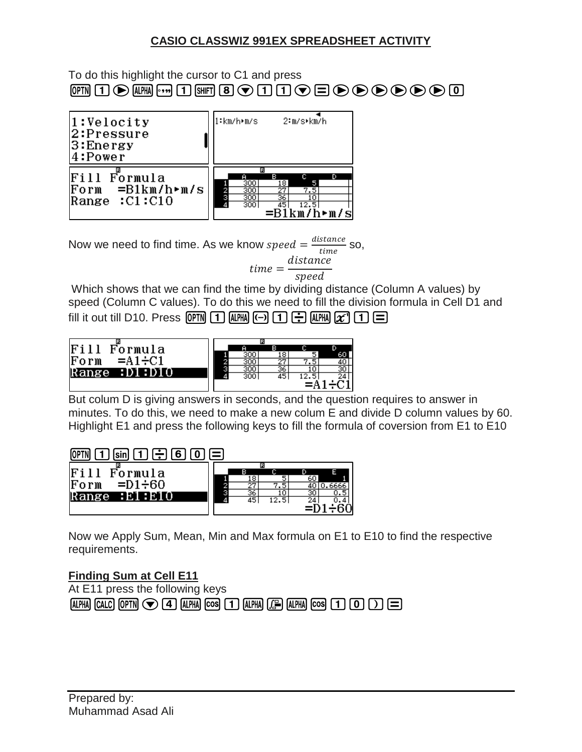To do this highlight the cursor to C1 and press  $\mathbb{R}$   $\Box$   $\odot$   $\mathbb{R}$   $\boxdot$   $\Box$   $\Box$   $\Box$   $\Box$   $\Box$   $\odot$   $\Box$   $\odot$   $\odot$   $\odot$   $\odot$   $\odot$   $\odot$   $\odot$ 



Now we need to find time. As we know speed  $=\frac{distance}{time}$  $\frac{$ }{time} SO,  $time =$ distance speed

Which shows that we can find the time by dividing distance (Column A values) by speed (Column C values). To do this we need to fill the division formula in Cell D1 and fill it out till D10. Press  $[OPTN]$  1  $[OPTM]$   $[\neg]$   $[1]$   $[\neg]$   $[1]$   $[x^2]$   $[1]$   $[\neg]$ 



But colum D is giving answers in seconds, and the question requires to answer in minutes. To do this, we need to make a new colum E and divide D column values by 60. Highlight E1 and press the following keys to fill the formula of coversion from E1 to E10

 $[OPTN]$   $[1]$   $[\sin]$   $[1]$   $[\div]$   $[6]$   $[0]$   $[\equiv]$ 

|                           |   |    | E    |    |  |
|---------------------------|---|----|------|----|--|
| Fil<br>Formula            |   | в  |      |    |  |
|                           |   | 18 | w    | 60 |  |
| $=$ D1 $\div$ 60<br> Form |   | 27 | 7.5  |    |  |
| Range<br><b>BE1BE10</b>   | ٠ | 36 | 10   | 30 |  |
|                           | ₫ | 45 | 12.5 | 24 |  |
|                           |   |    |      |    |  |
|                           |   |    |      |    |  |

Now we Apply Sum, Mean, Min and Max formula on E1 to E10 to find the respective requirements.

#### **Finding Sum at Cell E11**

At E11 press the following keys  $[ALPHA]$   $[CALC]$   $[OPTN]$   $\bigcirc$   $[4]$   $[ALPHA]$   $[COS]$   $[1]$   $[ALPHA]$   $[CB]$   $[1]$   $[CO]$   $[1]$   $[1]$